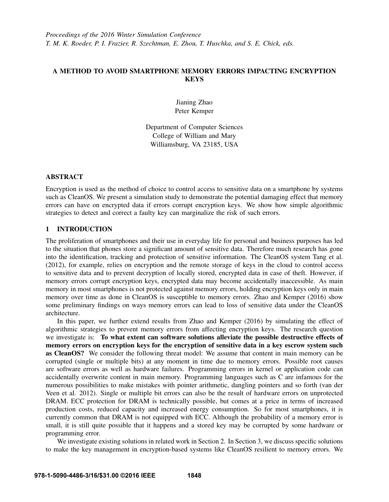# A METHOD TO AVOID SMARTPHONE MEMORY ERRORS IMPACTING ENCRYPTION **KEYS**

Jianing Zhao Peter Kemper

Department of Computer Sciences College of William and Mary Williamsburg, VA 23185, USA

### ABSTRACT

Encryption is used as the method of choice to control access to sensitive data on a smartphone by systems such as CleanOS. We present a simulation study to demonstrate the potential damaging effect that memory errors can have on encrypted data if errors corrupt encryption keys. We show how simple algorithmic strategies to detect and correct a faulty key can marginalize the risk of such errors.

# 1 INTRODUCTION

The proliferation of smartphones and their use in everyday life for personal and business purposes has led to the situation that phones store a significant amount of sensitive data. Therefore much research has gone into the identification, tracking and protection of sensitive information. The CleanOS system Tang et al. (2012), for example, relies on encryption and the remote storage of keys in the cloud to control access to sensitive data and to prevent decryption of locally stored, encrypted data in case of theft. However, if memory errors corrupt encryption keys, encrypted data may become accidentally inaccessible. As main memory in most smartphones is not protected against memory errors, holding encryption keys only in main memory over time as done in CleanOS is susceptible to memory errors. Zhao and Kemper (2016) show some preliminary findings on ways memory errors can lead to loss of sensitive data under the CleanOS architecture.

In this paper, we further extend results from Zhao and Kemper (2016) by simulating the effect of algorithmic strategies to prevent memory errors from affecting encryption keys. The research question we investigate is: To what extent can software solutions alleviate the possible destructive effects of memory errors on encryption keys for the encryption of sensitive data in a key escrow system such as CleanOS? We consider the following threat model: We assume that content in main memory can be corrupted (single or multiple bits) at any moment in time due to memory errors. Possible root causes are software errors as well as hardware failures. Programming errors in kernel or application code can accidentally overwrite content in main memory. Programming languages such as C are infamous for the numerous possibilities to make mistakes with pointer arithmetic, dangling pointers and so forth (van der Veen et al. 2012). Single or multiple bit errors can also be the result of hardware errors on unprotected DRAM. ECC protection for DRAM is technically possible, but comes at a price in terms of increased production costs, reduced capacity and increased energy consumption. So for most smartphones, it is currently common that DRAM is not equipped with ECC. Although the probability of a memory error is small, it is still quite possible that it happens and a stored key may be corrupted by some hardware or programming error.

We investigate existing solutions in related work in Section 2. In Section 3, we discuss specific solutions to make the key management in encryption-based systems like CleanOS resilient to memory errors. We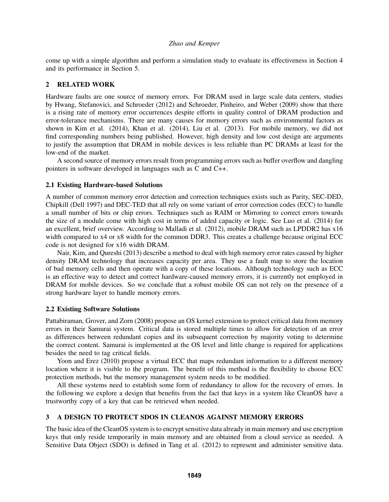come up with a simple algorithm and perform a simulation study to evaluate its effectiveness in Section 4 and its performance in Section 5.

### 2 RELATED WORK

Hardware faults are one source of memory errors. For DRAM used in large scale data centers, studies by Hwang, Stefanovici, and Schroeder (2012) and Schroeder, Pinheiro, and Weber (2009) show that there is a rising rate of memory error occurrences despite efforts in quality control of DRAM production and error-tolerance mechanisms. There are many causes for memory errors such as environmental factors as shown in Kim et al. (2014), Khan et al. (2014), Liu et al. (2013). For mobile memory, we did not find corresponding numbers being published. However, high density and low cost design are arguments to justify the assumption that DRAM in mobile devices is less reliable than PC DRAMs at least for the low-end of the market.

A second source of memory errors result from programming errors such as buffer overflow and dangling pointers in software developed in languages such as C and C++.

# 2.1 Existing Hardware-based Solutions

A number of common memory error detection and correction techniques exists such as Parity, SEC-DED, Chipkill (Dell 1997) and DEC-TED that all rely on some variant of error correction codes (ECC) to handle a small number of bits or chip errors. Techniques such as RAIM or Mirroring to correct errors towards the size of a module come with high cost in terms of added capacity or logic. See Luo et al. (2014) for an excellent, brief overview. According to Malladi et al. (2012), mobile DRAM such as LPDDR2 has x16 width compared to x4 or x8 width for the common DDR3. This creates a challenge because original ECC code is not designed for x16 width DRAM.

Nair, Kim, and Qureshi (2013) describe a method to deal with high memory error rates caused by higher density DRAM technology that increases capacity per area. They use a fault map to store the location of bad memory cells and then operate with a copy of these locations. Although technology such as ECC is an effective way to detect and correct hardware-caused memory errors, it is currently not employed in DRAM for mobile devices. So we conclude that a robust mobile OS can not rely on the presence of a strong hardware layer to handle memory errors.

# 2.2 Existing Software Solutions

Pattabiraman, Grover, and Zorn (2008) propose an OS kernel extension to protect critical data from memory errors in their Samurai system. Critical data is stored multiple times to allow for detection of an error as differences between redundant copies and its subsequent correction by majority voting to determine the correct content. Samurai is implemented at the OS level and little change is required for applications besides the need to tag critical fields.

Yoon and Erez (2010) propose a virtual ECC that maps redundant information to a different memory location where it is visible to the program. The benefit of this method is the flexibility to choose ECC protection methods, but the memory management system needs to be modified.

All these systems need to establish some form of redundancy to allow for the recovery of errors. In the following we explore a design that benefits from the fact that keys in a system like CleanOS have a trustworthy copy of a key that can be retrieved when needed.

# 3 A DESIGN TO PROTECT SDOS IN CLEANOS AGAINST MEMORY ERRORS

The basic idea of the CleanOS system is to encrypt sensitive data already in main memory and use encryption keys that only reside temporarily in main memory and are obtained from a cloud service as needed. A Sensitive Data Object (SDO) is defined in Tang et al. (2012) to represent and administer sensitive data.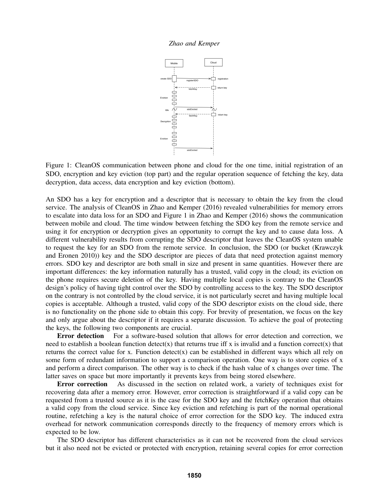

Figure 1: CleanOS communication between phone and cloud for the one time, initial registration of an SDO, encryption and key eviction (top part) and the regular operation sequence of fetching the key, data decryption, data access, data encryption and key eviction (bottom).

An SDO has a key for encryption and a descriptor that is necessary to obtain the key from the cloud service. The analysis of CleanOS in Zhao and Kemper (2016) revealed vulnerabilities for memory errors to escalate into data loss for an SDO and Figure 1 in Zhao and Kemper (2016) shows the communication between mobile and cloud. The time window between fetching the SDO key from the remote service and using it for encryption or decryption gives an opportunity to corrupt the key and to cause data loss. A different vulnerability results from corrupting the SDO descriptor that leaves the CleanOS system unable to request the key for an SDO from the remote service. In conclusion, the SDO (or bucket (Krawczyk and Eronen 2010)) key and the SDO descriptor are pieces of data that need protection against memory errors. SDO key and descriptor are both small in size and present in same quantities. However there are important differences: the key information naturally has a trusted, valid copy in the cloud; its eviction on the phone requires secure deletion of the key. Having multiple local copies is contrary to the CleanOS design's policy of having tight control over the SDO by controlling access to the key. The SDO descriptor on the contrary is not controlled by the cloud service, it is not particularly secret and having multiple local copies is acceptable. Although a trusted, valid copy of the SDO descriptor exists on the cloud side, there is no functionality on the phone side to obtain this copy. For brevity of presentation, we focus on the key and only argue about the descriptor if it requires a separate discussion. To achieve the goal of protecting the keys, the following two components are crucial.

Error detection For a software-based solution that allows for error detection and correction, we need to establish a boolean function detect(x) that returns true iff x is invalid and a function correct(x) that returns the correct value for x. Function detect(x) can be established in different ways which all rely on some form of redundant information to support a comparison operation. One way is to store copies of x and perform a direct comparison. The other way is to check if the hash value of x changes over time. The latter saves on space but more importantly it prevents keys from being stored elsewhere.

Error correction As discussed in the section on related work, a variety of techniques exist for recovering data after a memory error. However, error correction is straightforward if a valid copy can be requested from a trusted source as it is the case for the SDO key and the fetchKey operation that obtains a valid copy from the cloud service. Since key eviction and refetching is part of the normal operational routine, refetching a key is the natural choice of error correction for the SDO key. The induced extra overhead for network communication corresponds directly to the frequency of memory errors which is expected to be low.

The SDO descriptor has different characteristics as it can not be recovered from the cloud services but it also need not be evicted or protected with encryption, retaining several copies for error correction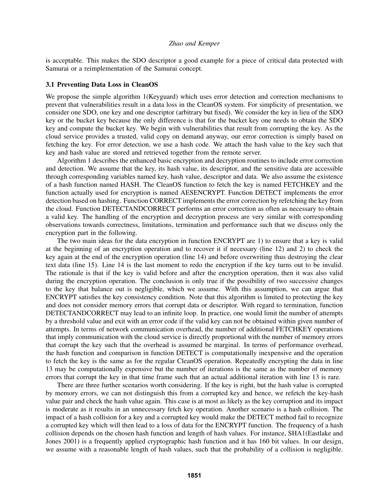is acceptable. This makes the SDO descriptor a good example for a piece of critical data protected with Samurai or a reimplementation of the Samurai concept.

#### 3.1 Preventing Data Loss in CleanOS

We propose the simple algorithm 1(Keyguard) which uses error detection and correction mechanisms to prevent that vulnerabilities result in a data loss in the CleanOS system. For simplicity of presentation, we consider one SDO, one key and one descriptor (arbitrary but fixed). We consider the key in lieu of the SDO key or the bucket key because the only difference is that for the bucket key one needs to obtain the SDO key and compute the bucket key. We begin with vulnerabilities that result from corrupting the key. As the cloud service provides a trusted, valid copy on demand anyway, our error correction is simply based on fetching the key. For error detection, we use a hash code. We attach the hash value to the key such that key and hash value are stored and retrieved together from the remote server.

Algorithm 1 describes the enhanced basic encryption and decryption routines to include error correction and detection. We assume that the key, its hash value, its descriptor, and the sensitive data are accessible through corresponding variables named key, hash value, descriptor and data. We also assume the existence of a hash function named HASH. The CleanOS function to fetch the key is named FETCHKEY and the function actually used for encryption is named AESENCRYPT. Function DETECT implements the error detection based on hashing. Function CORRECT implements the error correction by refetching the key from the cloud. Function DETECTANDCORRECT performs an error correction as often as necessary to obtain a valid key. The handling of the encryption and decryption process are very similar with corresponding observations towards correctness, limitations, termination and performance such that we discuss only the encryption part in the following.

The two main ideas for the data encryption in function ENCRYPT are 1) to ensure that a key is valid at the beginning of an encryption operation and to recover it if necessary (line 12) and 2) to check the key again at the end of the encryption operation (line 14) and before overwriting thus destroying the clear text data (line 15). Line 14 is the last moment to redo the encryption if the key turns out to be invalid. The rationale is that if the key is valid before and after the encryption operation, then it was also valid during the encryption operation. The conclusion is only true if the possibility of two successive changes to the key that balance out is negligible, which we assume. With this assumption, we can argue that ENCRYPT satisfies the key consistency condition. Note that this algorithm is limited to protecting the key and does not consider memory errors that corrupt data or descriptor. With regard to termination, function DETECTANDCORRECT may lead to an infinite loop. In practice, one would limit the number of attempts by a threshold value and exit with an error code if the valid key can not be obtained within given number of attempts. In terms of network communication overhead, the number of additional FETCHKEY operations that imply communication with the cloud service is directly proportional with the number of memory errors that corrupt the key such that the overhead is assumed be marginal. In terms of performance overhead, the hash function and comparison in function DETECT is computationally inexpensive and the operation to fetch the key is the same as for the regular CleanOS operation. Repeatedly encrypting the data in line 13 may be computationally expensive but the number of iterations is the same as the number of memory errors that corrupt the key in that time frame such that an actual additional iteration with line 13 is rare.

There are three further scenarios worth considering. If the key is right, but the hash value is corrupted by memory errors, we can not distinguish this from a corrupted key and hence, we refetch the key-hash value pair and check the hash value again. This case is at most as likely as the key corruption and its impact is moderate as it results in an unnecessary fetch key operation. Another scenario is a hash collision. The impact of a hash collision for a key and a corrupted key would make the DETECT method fail to recognize a corrupted key which will then lead to a loss of data for the ENCRYPT function. The frequency of a hash collision depends on the chosen hash function and length of hash values. For instance, SHA1(Eastlake and Jones 2001) is a frequently applied cryptographic hash function and it has 160 bit values. In our design, we assume with a reasonable length of hash values, such that the probability of a collision is negligible.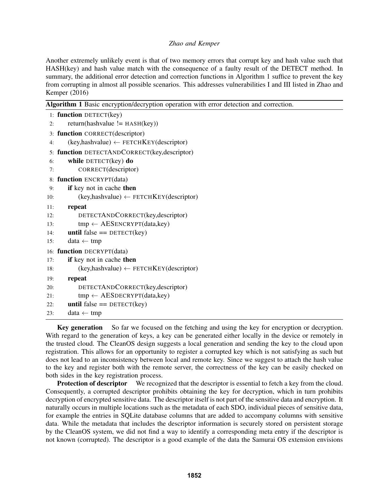Another extremely unlikely event is that of two memory errors that corrupt key and hash value such that HASH(key) and hash value match with the consequence of a faulty result of the DETECT method. In summary, the additional error detection and correction functions in Algorithm 1 suffice to prevent the key from corrupting in almost all possible scenarios. This addresses vulnerabilities I and III listed in Zhao and Kemper (2016)

Algorithm 1 Basic encryption/decryption operation with error detection and correction.

```
1: function DETECT(key)
```

```
2: return(hashvalue != HASH(key))
```

```
3: function CORRECT(descriptor)
```

```
4: (key, hashvalue) \leftarrow FETCHKEY(descriptor)
```

```
5: function DETECTANDCORRECT(key,descriptor)
```

```
6: while DETECT(key) do
```

```
7: CORRECT(descriptor)
```

```
8: function ENCRYPT(data)
```

```
9: if key not in cache then
```

```
10: (key,hashvalue) ← FETCHKEY(descriptor)
```

```
11: repeat
```

```
12: DETECTANDCORRECT(key,descriptor)
```

```
13: tmp \leftarrow \text{AESENCRYPT}(data, key)
```

```
14: until false == DETECT(key)
```

```
15: data \leftarrow tmp
```

```
16: function DECRYPT(data)
```

```
17: if key not in cache then
```

```
18: (key,hashvalue) ← FETCHKEY(descriptor)
```

```
19: repeat
```

```
20: DETECTANDCORRECT(key,descriptor)
```

```
21: tmp \leftarrow \text{AESDECRYPT}(data, key)
```

```
22: until false == DETECT(key)
```

```
23: data \leftarrow tmp
```
Key generation So far we focused on the fetching and using the key for encryption or decryption. With regard to the generation of keys, a key can be generated either locally in the device or remotely in the trusted cloud. The CleanOS design suggests a local generation and sending the key to the cloud upon registration. This allows for an opportunity to register a corrupted key which is not satisfying as such but does not lead to an inconsistency between local and remote key. Since we suggest to attach the hash value to the key and register both with the remote server, the correctness of the key can be easily checked on both sides in the key registration process.

Protection of descriptor We recognized that the descriptor is essential to fetch a key from the cloud. Consequently, a corrupted descriptor prohibits obtaining the key for decryption, which in turn prohibits decryption of encrypted sensitive data. The descriptor itself is not part of the sensitive data and encryption. It naturally occurs in multiple locations such as the metadata of each SDO, individual pieces of sensitive data, for example the entries in SQLite database columns that are added to accompany columns with sensitive data. While the metadata that includes the descriptor information is securely stored on persistent storage by the CleanOS system, we did not find a way to identify a corresponding meta entry if the descriptor is not known (corrupted). The descriptor is a good example of the data the Samurai OS extension envisions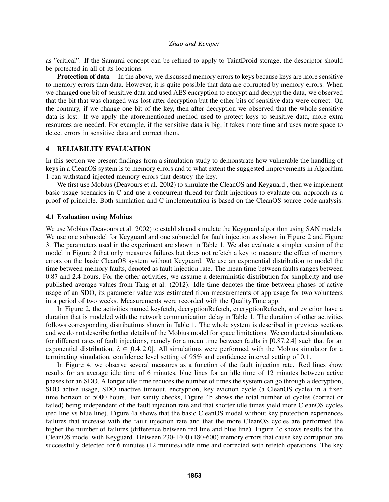as "critical". If the Samurai concept can be refined to apply to TaintDroid storage, the descriptor should be protected in all of its locations.

**Protection of data** In the above, we discussed memory errors to keys because keys are more sensitive to memory errors than data. However, it is quite possible that data are corrupted by memory errors. When we changed one bit of sensitive data and used AES encryption to encrypt and decrypt the data, we observed that the bit that was changed was lost after decryption but the other bits of sensitive data were correct. On the contrary, if we change one bit of the key, then after decryption we observed that the whole sensitive data is lost. If we apply the aforementioned method used to protect keys to sensitive data, more extra resources are needed. For example, if the sensitive data is big, it takes more time and uses more space to detect errors in sensitive data and correct them.

#### 4 RELIABILITY EVALUATION

In this section we present findings from a simulation study to demonstrate how vulnerable the handling of keys in a CleanOS system is to memory errors and to what extent the suggested improvements in Algorithm 1 can withstand injected memory errors that destroy the key.

We first use Mobius (Deavours et al. 2002) to simulate the CleanOS and Keyguard , then we implement basic usage scenarios in C and use a concurrent thread for fault injections to evaluate our approach as a proof of principle. Both simulation and C implementation is based on the CleanOS source code analysis.

#### 4.1 Evaluation using Mobius

We use Mobius (Deavours et al. 2002) to establish and simulate the Keyguard algorithm using SAN models. We use one submodel for Keyguard and one submodel for fault injection as shown in Figure 2 and Figure 3. The parameters used in the experiment are shown in Table 1. We also evaluate a simpler version of the model in Figure 2 that only measures failures but does not refetch a key to measure the effect of memory errors on the basic CleanOS system without Keyguard. We use an exponential distribution to model the time between memory faults, denoted as fault injection rate. The mean time between faults ranges between 0.87 and 2.4 hours. For the other activities, we assume a deterministic distribution for simplicity and use published average values from Tang et al. (2012). Idle time denotes the time between phases of active usage of an SDO, its parameter value was estimated from measurements of app usage for two volunteers in a period of two weeks. Measurements were recorded with the QualityTime app.

In Figure 2, the activities named keyfetch, decryptionRefetch, encryptionRefetch, and eviction have a duration that is modeled with the network communication delay in Table 1. The duration of other activities follows corresponding distributions shown in Table 1. The whole system is described in previous sections and we do not describe further details of the Mobius model for space limitations. We conducted simulations for different rates of fault injections, namely for a mean time between faults in [0.87,2.4] such that for an exponential distribution,  $\lambda \in [0.4, 2.0]$ . All simulations were performed with the Mobius simulator for a terminating simulation, confidence level setting of 95% and confidence interval setting of 0.1.

In Figure 4, we observe several measures as a function of the fault injection rate. Red lines show results for an average idle time of 6 minutes, blue lines for an idle time of 12 minutes between active phases for an SDO. A longer idle time reduces the number of times the system can go through a decryption, SDO active usage, SDO inactive timeout, encryption, key eviction cycle (a CleanOS cycle) in a fixed time horizon of 5000 hours. For sanity checks, Figure 4b shows the total number of cycles (correct or failed) being independent of the fault injection rate and that shorter idle times yield more CleanOS cycles (red line vs blue line). Figure 4a shows that the basic CleanOS model without key protection experiences failures that increase with the fault injection rate and that the more CleanOS cycles are performed the higher the number of failures (difference between red line and blue line). Figure 4c shows results for the CleanOS model with Keyguard. Between 230-1400 (180-600) memory errors that cause key corruption are successfully detected for 6 minutes (12 minutes) idle time and corrected with refetch operations. The key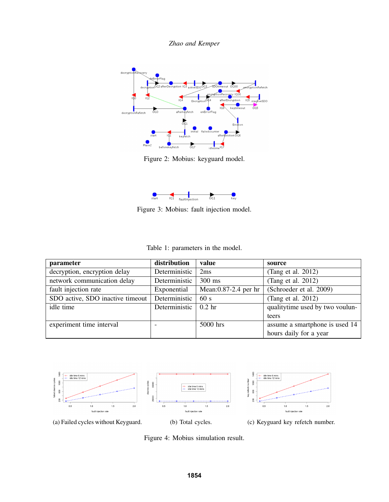

Figure 2: Mobius: keyguard model.



Figure 3: Mobius: fault injection model.

Table 1: parameters in the model.

| parameter                        | distribution  | value                   | source                          |
|----------------------------------|---------------|-------------------------|---------------------------------|
| decryption, encryption delay     | Deterministic | 2ms                     | (Tang et al. 2012)              |
| network communication delay      | Deterministic | $300 \text{ ms}$        | (Tang et al. 2012)              |
| fault injection rate             | Exponential   | Mean: $0.87-2.4$ per hr | (Schroeder et al. 2009)         |
| SDO active, SDO inactive timeout | Deterministic | 60 s                    | (Tang et al. 2012)              |
| idle time                        | Deterministic | $0.2$ hr                | qualitytime used by two voulun- |
|                                  |               |                         | teers                           |
| experiment time interval         |               | 5000 hrs                | assume a smartphone is used 14  |
|                                  |               |                         | hours daily for a year          |



Figure 4: Mobius simulation result.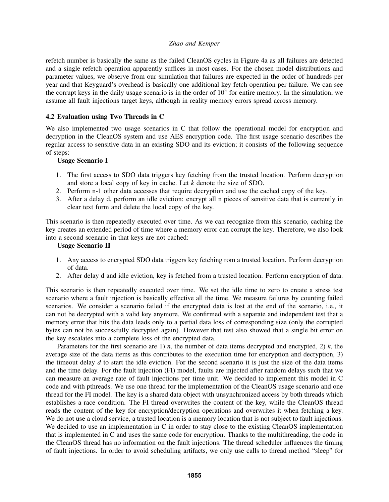refetch number is basically the same as the failed CleanOS cycles in Figure 4a as all failures are detected and a single refetch operation apparently suffices in most cases. For the chosen model distributions and parameter values, we observe from our simulation that failures are expected in the order of hundreds per year and that Keyguard's overhead is basically one additional key fetch operation per failure. We can see the corrupt keys in the daily usage scenario is in the order of  $10<sup>3</sup>$  for entire memory. In the simulation, we assume all fault injections target keys, although in reality memory errors spread across memory.

# 4.2 Evaluation using Two Threads in C

We also implemented two usage scenarios in C that follow the operational model for encryption and decryption in the CleanOS system and use AES encryption code. The first usage scenario describes the regular access to sensitive data in an existing SDO and its eviction; it consists of the following sequence of steps:

# Usage Scenario I

- 1. The first access to SDO data triggers key fetching from the trusted location. Perform decryption and store a local copy of key in cache. Let *k* denote the size of SDO.
- 2. Perform n-1 other data accesses that require decryption and use the cached copy of the key.
- 3. After a delay d, perform an idle eviction: encrypt all n pieces of sensitive data that is currently in clear text form and delete the local copy of the key.

This scenario is then repeatedly executed over time. As we can recognize from this scenario, caching the key creates an extended period of time where a memory error can corrupt the key. Therefore, we also look into a second scenario in that keys are not cached:

### Usage Scenario II

- 1. Any access to encrypted SDO data triggers key fetching rom a trusted location. Perform decryption of data.
- 2. After delay d and idle eviction, key is fetched from a trusted location. Perform encryption of data.

This scenario is then repeatedly executed over time. We set the idle time to zero to create a stress test scenario where a fault injection is basically effective all the time. We measure failures by counting failed scenarios. We consider a scenario failed if the encrypted data is lost at the end of the scenario, i.e., it can not be decrypted with a valid key anymore. We confirmed with a separate and independent test that a memory error that hits the data leads only to a partial data loss of corresponding size (only the corrupted bytes can not be successfully decrypted again). However that test also showed that a single bit error on the key escalates into a complete loss of the encrypted data.

Parameters for the first scenario are 1)  $n$ , the number of data items decrypted and encrypted, 2)  $k$ , the average size of the data items as this contributes to the execution time for encryption and decryption, 3) the timeout delay *d* to start the idle eviction. For the second scenario it is just the size of the data items and the time delay. For the fault injection (FI) model, faults are injected after random delays such that we can measure an average rate of fault injections per time unit. We decided to implement this model in C code and with pthreads. We use one thread for the implementation of the CleanOS usage scenario and one thread for the FI model. The key is a shared data object with unsynchronized access by both threads which establishes a race condition. The FI thread overwrites the content of the key, while the CleanOS thread reads the content of the key for encryption/decryption operations and overwrites it when fetching a key. We do not use a cloud service, a trusted location is a memory location that is not subject to fault injections. We decided to use an implementation in C in order to stay close to the existing CleanOS implementation that is implemented in C and uses the same code for encryption. Thanks to the multithreading, the code in the CleanOS thread has no information on the fault injections. The thread scheduler influences the timing of fault injections. In order to avoid scheduling artifacts, we only use calls to thread method "sleep" for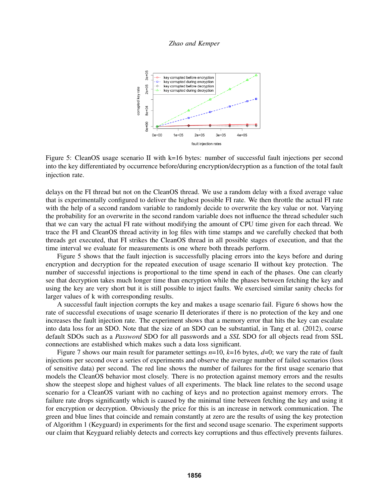

Figure 5: CleanOS usage scenario II with k=16 bytes: number of successful fault injections per second into the key differentiated by occurrence before/during encryption/decryption as a function of the total fault injection rate.

delays on the FI thread but not on the CleanOS thread. We use a random delay with a fixed average value that is experimentally configured to deliver the highest possible FI rate. We then throttle the actual FI rate with the help of a second random variable to randomly decide to overwrite the key value or not. Varying the probability for an overwrite in the second random variable does not influence the thread scheduler such that we can vary the actual FI rate without modifying the amount of CPU time given for each thread. We trace the FI and CleanOS thread activity in log files with time stamps and we carefully checked that both threads get executed, that FI strikes the CleanOS thread in all possible stages of execution, and that the time interval we evaluate for measurements is one where both threads perform.

Figure 5 shows that the fault injection is successfully placing errors into the keys before and during encryption and decryption for the repeated execution of usage scenario II without key protection. The number of successful injections is proportional to the time spend in each of the phases. One can clearly see that decryption takes much longer time than encryption while the phases between fetching the key and using the key are very short but it is still possible to inject faults. We exercised similar sanity checks for larger values of k with corresponding results.

A successful fault injection corrupts the key and makes a usage scenario fail. Figure 6 shows how the rate of successful executions of usage scenario II deteriorates if there is no protection of the key and one increases the fault injection rate. The experiment shows that a memory error that hits the key can escalate into data loss for an SDO. Note that the size of an SDO can be substantial, in Tang et al. (2012), coarse default SDOs such as a *Password* SDO for all passwords and a *SSL* SDO for all objects read from SSL connections are established which makes such a data loss significant.

Figure 7 shows our main result for parameter settings  $n=10$ ,  $k=16$  bytes,  $d=0$ ; we vary the rate of fault injections per second over a series of experiments and observe the average number of failed scenarios (loss of sensitive data) per second. The red line shows the number of failures for the first usage scenario that models the CleanOS behavior most closely. There is no protection against memory errors and the results show the steepest slope and highest values of all experiments. The black line relates to the second usage scenario for a CleanOS variant with no caching of keys and no protection against memory errors. The failure rate drops significantly which is caused by the minimal time between fetching the key and using it for encryption or decryption. Obviously the price for this is an increase in network communication. The green and blue lines that coincide and remain constantly at zero are the results of using the key protection of Algorithm 1 (Keyguard) in experiments for the first and second usage scenario. The experiment supports our claim that Keyguard reliably detects and corrects key corruptions and thus effectively prevents failures.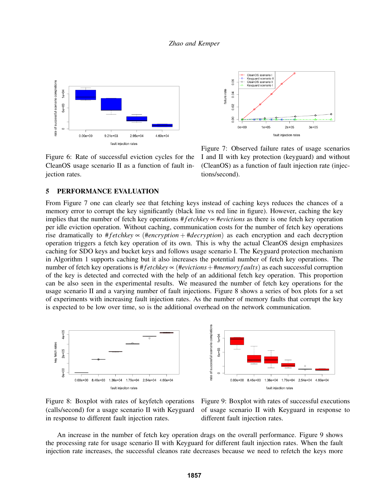

CleanOS scenario I<br>Keyguard scenario II<br>CleanOS scenario II<br>Keyguard scenario I 0.06 failure rate  $0.04$ 0.02 0.00  $0e + 00$  $1e + 05$  $2e + 05$  $3e + 05$ fault injection rates

Figure 6: Rate of successful eviction cycles for the CleanOS usage scenario II as a function of fault injection rates.

Figure 7: Observed failure rates of usage scenarios I and II with key protection (keyguard) and without (CleanOS) as a function of fault injection rate (injections/second).

### 5 PERFORMANCE EVALUATION

From Figure 7 one can clearly see that fetching keys instead of caching keys reduces the chances of a memory error to corrupt the key significantly (black line vs red line in figure). However, caching the key implies that the number of fetch key operations # *f etchkey* ∝ #*evictions* as there is one fetch key operation per idle eviction operation. Without caching, communication costs for the number of fetch key operations rise dramatically to  $\# fetchkey \propto (\# encryption + \# decryption)$  as each encryption and each decryption operation triggers a fetch key operation of its own. This is why the actual CleanOS design emphasizes caching for SDO keys and bucket keys and follows usage scenario I. The Keyguard protection mechanism in Algorithm 1 supports caching but it also increases the potential number of fetch key operations. The number of fetch key operations is  $#fetchkey \propto$  ( $\#evictions + \#memory faults)$  as each successful corruption of the key is detected and corrected with the help of an additional fetch key operation. This proportion can be also seen in the experimental results. We measured the number of fetch key operations for the usage scenario II and a varying number of fault injections. Figure 8 shows a series of box plots for a set of experiments with increasing fault injection rates. As the number of memory faults that corrupt the key is expected to be low over time, so is the additional overhead on the network communication.



Figure 8: Boxplot with rates of keyfetch operations (calls/second) for a usage scenario II with Keyguard in response to different fault injection rates.

Figure 9: Boxplot with rates of successful executions of usage scenario II with Keyguard in response to different fault injection rates.

An increase in the number of fetch key operation drags on the overall performance. Figure 9 shows the processing rate for usage scenario II with Keyguard for different fault injection rates. When the fault injection rate increases, the successful cleanos rate decreases because we need to refetch the keys more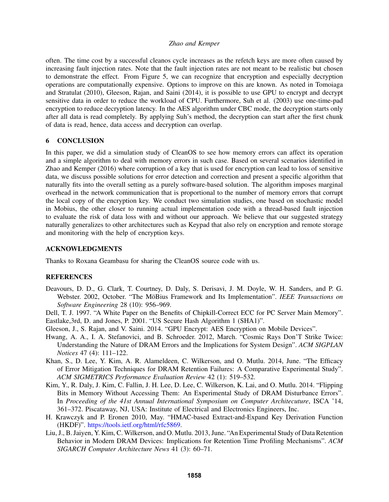often. The time cost by a successful cleanos cycle increases as the refetch keys are more often caused by increasing fault injection rates. Note that the fault injection rates are not meant to be realistic but chosen to demonstrate the effect. From Figure 5, we can recognize that encryption and especially decryption operations are computationally expensive. Options to improve on this are known. As noted in Tomoiaga and Stratulat (2010), Gleeson, Rajan, and Saini (2014), it is possible to use GPU to encrypt and decrypt sensitive data in order to reduce the workload of CPU. Furthermore, Suh et al. (2003) use one-time-pad encryption to reduce decryption latency. In the AES algorithm under CBC mode, the decryption starts only after all data is read completely. By applying Suh's method, the decryption can start after the first chunk of data is read, hence, data access and decryption can overlap.

### 6 CONCLUSION

In this paper, we did a simulation study of CleanOS to see how memory errors can affect its operation and a simple algorithm to deal with memory errors in such case. Based on several scenarios identified in Zhao and Kemper (2016) where corruption of a key that is used for encryption can lead to loss of sensitive data, we discuss possible solutions for error detection and correction and present a specific algorithm that naturally fits into the overall setting as a purely software-based solution. The algorithm imposes marginal overhead in the network communication that is proportional to the number of memory errors that corrupt the local copy of the encryption key. We conduct two simulation studies, one based on stochastic model in Mobius, the other closer to running actual implementation code with a thread-based fault injection to evaluate the risk of data loss with and without our approach. We believe that our suggested strategy naturally generalizes to other architectures such as Keypad that also rely on encryption and remote storage and monitoring with the help of encryption keys.

# ACKNOWLEDGMENTS

Thanks to Roxana Geambasu for sharing the CleanOS source code with us.

### **REFERENCES**

- Deavours, D. D., G. Clark, T. Courtney, D. Daly, S. Derisavi, J. M. Doyle, W. H. Sanders, and P. G. Webster. 2002, October. "The MöBius Framework and Its Implementation". *IEEE Transactions on Software Engineering* 28 (10): 956–969.
- Dell, T. J. 1997. "A White Paper on the Benefits of Chipkill-Correct ECC for PC Server Main Memory". Eastlake,3rd, D. and Jones, P. 2001. "US Secure Hash Algorithm 1 (SHA1)".
- Gleeson, J., S. Rajan, and V. Saini. 2014. "GPU Encrypt: AES Encryption on Mobile Devices".
- Hwang, A. A., I. A. Stefanovici, and B. Schroeder. 2012, March. "Cosmic Rays Don'T Strike Twice: Understanding the Nature of DRAM Errors and the Implications for System Design". *ACM SIGPLAN Notices* 47 (4): 111–122.
- Khan, S., D. Lee, Y. Kim, A. R. Alameldeen, C. Wilkerson, and O. Mutlu. 2014, June. "The Efficacy of Error Mitigation Techniques for DRAM Retention Failures: A Comparative Experimental Study". *ACM SIGMETRICS Performance Evaluation Review* 42 (1): 519–532.
- Kim, Y., R. Daly, J. Kim, C. Fallin, J. H. Lee, D. Lee, C. Wilkerson, K. Lai, and O. Mutlu. 2014. "Flipping Bits in Memory Without Accessing Them: An Experimental Study of DRAM Disturbance Errors". In *Proceeding of the 41st Annual International Symposium on Computer Architecuture*, ISCA '14, 361–372. Piscataway, NJ, USA: Institute of Electrical and Electronics Engineers, Inc.
- H. Krawczyk and P. Eronen 2010, May. "HMAC-based Extract-and-Expand Key Derivation Function (HKDF)". https://tools.ietf.org/html/rfc5869.
- Liu, J., B. Jaiyen, Y. Kim, C. Wilkerson, and O. Mutlu. 2013, June. "An Experimental Study of Data Retention Behavior in Modern DRAM Devices: Implications for Retention Time Profiling Mechanisms". *ACM SIGARCH Computer Architecture News* 41 (3): 60–71.